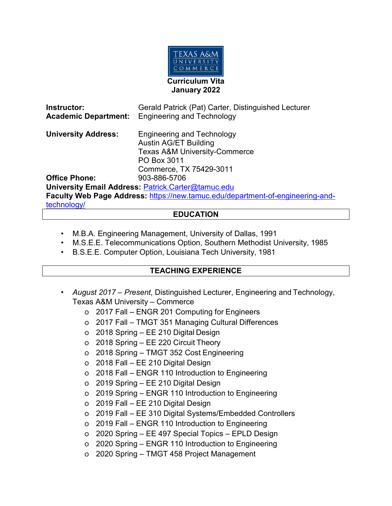

| Instructor:<br><b>Academic Department:</b>                                     | Gerald Patrick (Pat) Carter, Distinguished Lecturer<br><b>Engineering and Technology</b>                                                                |
|--------------------------------------------------------------------------------|---------------------------------------------------------------------------------------------------------------------------------------------------------|
| <b>University Address:</b>                                                     | <b>Engineering and Technology</b><br><b>Austin AG/ET Building</b><br><b>Texas A&amp;M University-Commerce</b><br>PO Box 3011<br>Commerce, TX 75429-3011 |
| <b>Office Phone:</b>                                                           | 903-886-5706                                                                                                                                            |
|                                                                                | University Email Address: Patrick.Carter@tamuc.edu                                                                                                      |
| Faculty Web Page Address: https://new.tamuc.edu/department-of-engineering-and- |                                                                                                                                                         |
| technology/                                                                    |                                                                                                                                                         |

## **EDUCATION**

- M.B.A. Engineering Management, University of Dallas, 1991
- M.S.E.E. Telecommunications Option, Southern Methodist University, 1985
- B.S.E.E. Computer Option, Louisiana Tech University, 1981

## **TEACHING EXPERIENCE**

- *August 2017 – Present*, Distinguished Lecturer, Engineering and Technology, Texas A&M University – Commerce
	- o 2017 Fall ENGR 201 Computing for Engineers
	- o 2017 Fall TMGT 351 Managing Cultural Differences
	- o 2018 Spring EE 210 Digital Design
	- o 2018 Spring EE 220 Circuit Theory
	- o 2018 Spring TMGT 352 Cost Engineering
	- o 2018 Fall EE 210 Digital Design
	- o 2018 Fall ENGR 110 Introduction to Engineering
	- o 2019 Spring EE 210 Digital Design
	- o 2019 Spring ENGR 110 Introduction to Engineering
	- o 2019 Fall EE 210 Digital Design
	- o 2019 Fall EE 310 Digital Systems/Embedded Controllers
	- o 2019 Fall ENGR 110 Introduction to Engineering
	- o 2020 Spring EE 497 Special Topics EPLD Design
	- o 2020 Spring ENGR 110 Introduction to Engineering
	- o 2020 Spring TMGT 458 Project Management